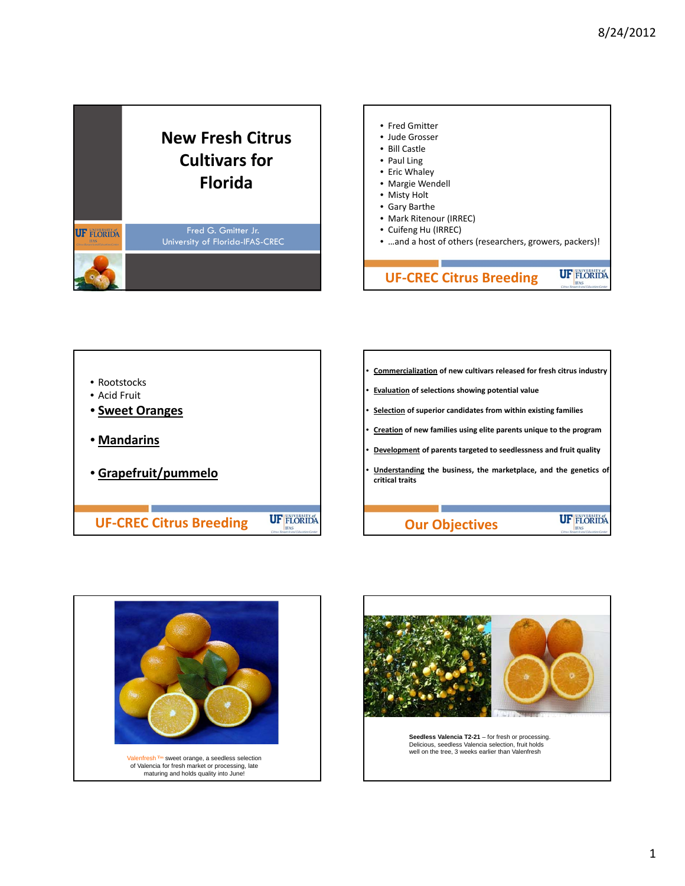







**Seedless Valencia T2-21** – for fresh or processing. Delicious, seedless Valencia selection, fruit holds well on the tree, 3 weeks earlier than Valenfresh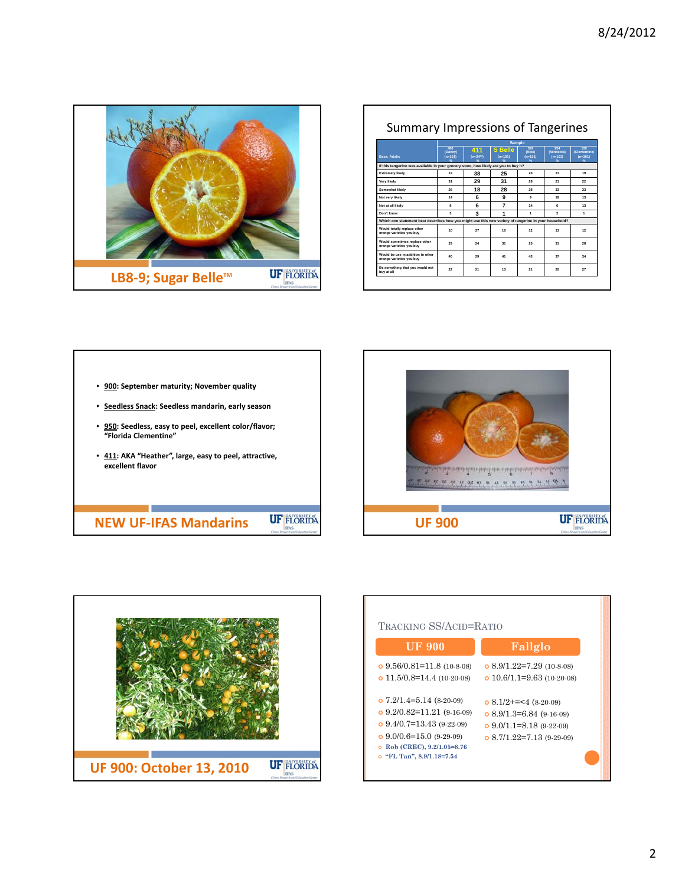

8/24/2012



**NEW UF‐IFAS Mandarins**

**UF 900: October 13, 2010**

• **950: Seedless, easy to peel, excellent color/flavor;**

• **411: AKA "Heather", large, easy to peel, attractive,**

**UF FLORIDA** 

**UF FLORIDA** 

**"Florida Clementine"**

**excellent flavor**

| TRACKING SS/ACID=RATIO                                                                                                                                                                                |                                                                                                                                      |  |  |  |
|-------------------------------------------------------------------------------------------------------------------------------------------------------------------------------------------------------|--------------------------------------------------------------------------------------------------------------------------------------|--|--|--|
| <b>UF 900</b>                                                                                                                                                                                         | Fallglo                                                                                                                              |  |  |  |
| $\sigma$ 9.56/0.81=11.8 (10-8-08)<br>$\sigma$ 11.5/0.8=14.4 (10-20-08)                                                                                                                                | $\bullet$ 8.9/1.22=7.29 (10-8-08)<br>$\sigma$ 10.6/1.1=9.63 (10-20-08)                                                               |  |  |  |
| $\sigma$ 7.2/1.4=5.14 (8-20-09)<br>$\sigma$ 9.2/0.82=11.21 (9-16-09)<br>$\sigma$ 9.4/0.7=13.43 (9-22-09)<br>$\sigma$ 9.0/0.6=15.0 (9-29-09)<br>Rob (CREC), 9.2/1.05=8.76<br>o "FL Tan", 8.9/1.18=7.54 | $\circ$ 8.1/2+=<4 (8-20-09)<br>$\circ$ 8.9/1.3=6.84 (9-16-09)<br>$\circ$ 9.0/1.1=8.18 (9-22-09)<br>$\bullet$ 8.7/1.22=7.13 (9-29-09) |  |  |  |





**Base: Adults (n=101) (n=34\*\*) (n=101) (n=101) (n=101) (n=101)**

**Extremely likely 19 38 25 20 21 19 Very likely 31 29 31 29 21 22 Somewhat likely 26 18 28 28 33 33 Not very likely 14 6 9 9 18 13 Not at all likely 8 6 7 14 6 13 Don't know** 3 3 1 1 1 2 1 **Which one statement best describes how you might use this new variety of tangerine in your household?**

**orange varieties you buy 10 27 16 12 13 12**

**orange varieties you buy 29 24 31 25 31 28**

**orange varieties you buy 40 29 41 43 37 34**

**buy at all 22 21 13 21 20 27**

**(Dancy) 411 S Belle <sup>392</sup>**

486<br>**(Dancy)**<br>(n=101)

If this tangerine was available in your grocery store, how likely are you to

**Would totally replace other** 

**Would sometimes replace other** 

**Would be use in addition to other** 

**Be something that you would not** 

**Sample** 

**% %%%% %**

**(New)**

**(Minneola)**

**109 (Clementine)**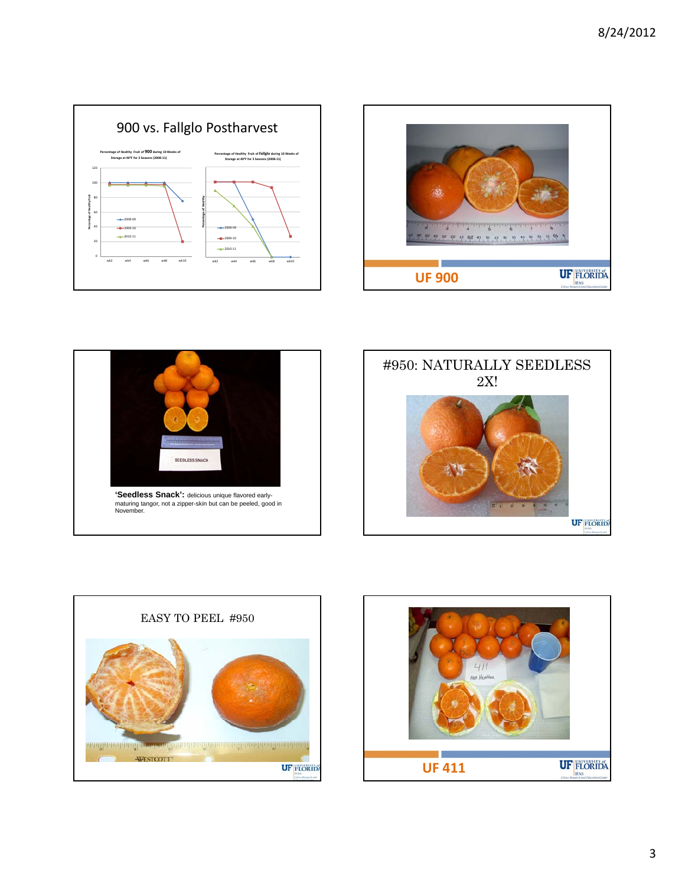









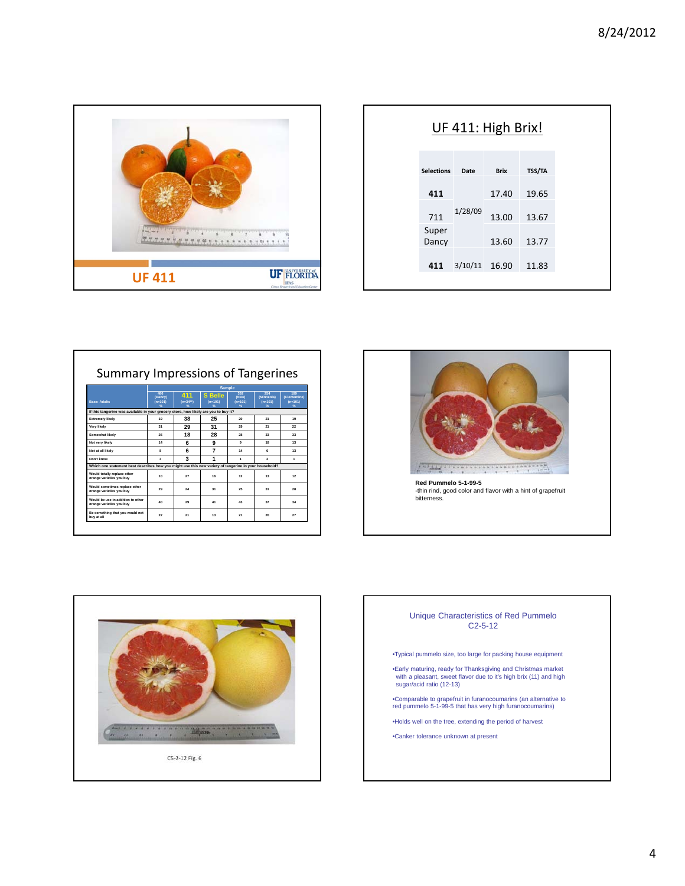

| UF 411: High Brix! |               |             |        |  |  |  |  |
|--------------------|---------------|-------------|--------|--|--|--|--|
| <b>Selections</b>  | Date          | <b>Brix</b> | TSS/TA |  |  |  |  |
| 411                |               | 17.40       | 19.65  |  |  |  |  |
| 711                | 1/28/09       | 13.00       | 13.67  |  |  |  |  |
| Super<br>Dancy     |               | 13.60       | 13.77  |  |  |  |  |
| 411                | 3/10/11 16.90 |             | 11.83  |  |  |  |  |

|                                                                                                       | <b>Sample</b>                             |                     |                                  |                                 |                                      |                                        |  |  |
|-------------------------------------------------------------------------------------------------------|-------------------------------------------|---------------------|----------------------------------|---------------------------------|--------------------------------------|----------------------------------------|--|--|
| <b>Base: Adults</b>                                                                                   | <b>ARR</b><br>(Dancy)<br>$(n=101)$<br>٩ĸ. | 411<br>$(n=34^{n})$ | <b>S</b> Belle<br>$(n=101)$<br>吆 | 392<br>(New)<br>$(n=101)$<br>96 | 254<br>(Minneola)<br>$(n=101)$<br>96 | 109<br>(Clementine)<br>$(n=101)$<br>6% |  |  |
| If this tangerine was available in your grocery store, how likely are you to buy it?                  |                                           |                     |                                  |                                 |                                      |                                        |  |  |
| <b>Extremely likely</b>                                                                               | 19                                        | 38                  | 25                               | 20                              | 21                                   | 19                                     |  |  |
| Very likely                                                                                           | 31                                        | 29                  | 31                               | 29                              | 21                                   | $22 \,$                                |  |  |
| Somewhat likely                                                                                       | 26                                        | 18                  | 28                               | 28                              | 33                                   | 33                                     |  |  |
| Not very likely                                                                                       | 14                                        | 6                   | 9                                | $\mathbf{Q}$                    | 18                                   | 13                                     |  |  |
| Not at all likely                                                                                     | R                                         | 6                   | 7                                | 14                              | £.                                   | 13                                     |  |  |
| Don't know                                                                                            | $\mathbf{a}$                              | $\mathbf{a}$        | 1                                | 1                               | $\overline{ }$                       | $\mathbf{1}$                           |  |  |
| Which one statement best describes how you might use this new variety of tangerine in your household? |                                           |                     |                                  |                                 |                                      |                                        |  |  |
| Would totally replace other<br>orange varieties you buy                                               | 10                                        | 27                  | 16                               | 12                              | 13                                   | 12                                     |  |  |
| Would sometimes replace other<br>orange varieties you buy                                             | 29                                        | 24                  | 31                               | 25                              | 31                                   | 28                                     |  |  |
| Would be use in addition to other<br>orange varieties you buy                                         | 40                                        | 29                  | 41                               | 43                              | 37                                   | 34                                     |  |  |
| Be something that you would not<br>buy at all                                                         | $22^{1}$                                  | 21                  | 13                               | 21                              | 20                                   | 27                                     |  |  |





## Unique Characteristics of Red Pummelo C2-5-12

•Typical pummelo size, too large for packing house equipment

•Early maturing, ready for Thanksgiving and Christmas market with a pleasant, sweet flavor due to it's high brix (11) and high sugar/acid ratio (12-13)

•Comparable to grapefruit in furanocoumarins (an alternative to red pummelo 5-1-99-5 that has very high furanocoumarins)

•Holds well on the tree, extending the period of harvest

•Canker tolerance unknown at present